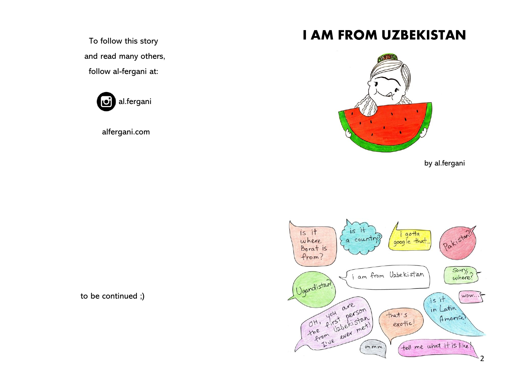To follow this story and read many others, follow al-fergani at:

> al.fergani loi

alfergani.com

## **I AM FROM UZBEKISTAN**



by al.fergani



to be continued ;)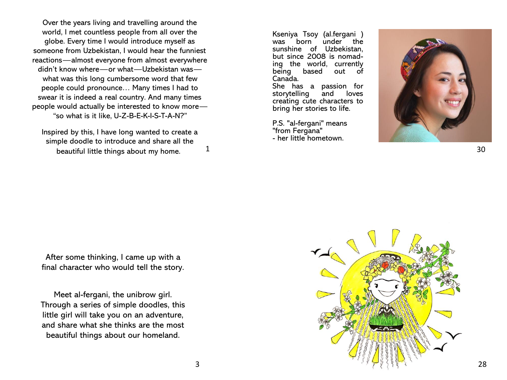Over the years living and travelling around the world, I met countless people from all over the globe. Every time I would introduce myself as someone from Uzbekistan, I would hear the funniest reactions—almost everyone from almost everywhere didn't know where—or what—Uzbekistan was what was this long cumbersome word that few people could pronounce… Many times I had to swear it is indeed a real country. And many times people would actually be interested to know more— "so what is it like, U-Z-B-E-K-I-S-T-A-N?"

Inspired by this, I have long wanted to create a simple doodle to introduce and share all the beautiful little things about my home.  $1$  Kseniya Tsoy (al.fergani ) was born under the sunshine of Uzbekistan, but since 2008 is nomading the world, currently being based out of Canada.

She has a passion for<br>storytelling and loves storytelling and creating cute characters to bring her stories to life.

P.S. "al-fergani" means "from Fergana" - her little hometown.



After some thinking, I came up with a final character who would tell the story.

Meet al-fergani, the unibrow girl. Through a series of simple doodles, this little girl will take you on an adventure, and share what she thinks are the most beautiful things about our homeland.

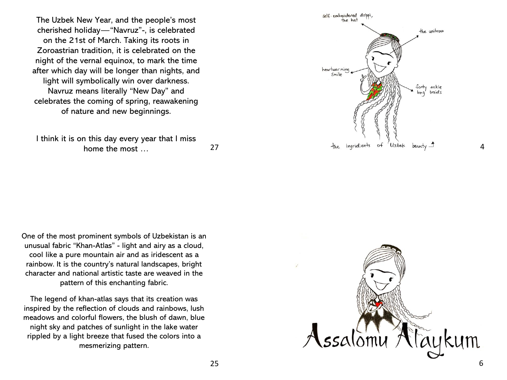The Uzbek New Year, and the people's most cherished holiday — "Navruz " -, is celebrated on the 21st of March. Taking its roots in Zoroastrian tradition, it is celebrated on the night of the vernal equinox, to mark the time after which day will be longer than nights, and light will symbolically win over darkness. Navruz means literally "New Day" and celebrates the coming of spring, reawakening of nature and new beginnings.

I think it is on this day every year that I miss home the most … 27



4

One of the most prominent symbols of Uzbekistan is an unusual fabric "Khan -Atlas" - light and airy as a cloud, cool like a pure mountain air and as iridescent as a rainbow. It is the country's natural landscapes, bright character and national artistic taste are weaved in the pattern of this enchanting fabric.

The legend of khan -atlas says that its creation was inspired by the reflection of clouds and rainbows, lush meadows and colorful flowers, the blush of dawn, blue night sky and patches of sunlight in the lake water rippled by a light breeze that fused the colors into a mesmerizing pattern.

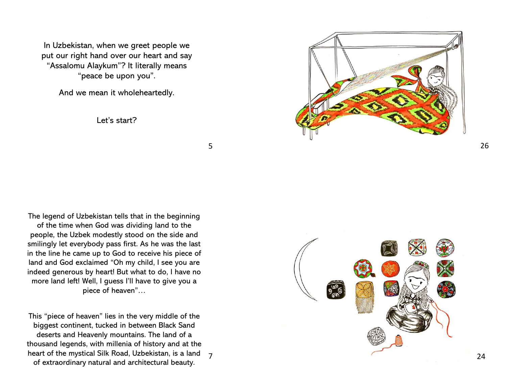In Uzbekistan, when we greet people we put our right hand over our heart and say "Assalomu Alaykum"? It literally means "peace be upon you".

And we mean it wholeheartedly.

Let's start?



5 5<br>7<br>7

 $\overline{7}$ 

The legend of Uzbekistan tells that in the beginning of the time when God was dividing land to the people, the Uzbek modestly stood on the side and smilingly let everybody pass first. As he was the last in the line he came up to God to receive his piece of land and God exclaimed "Oh my child, I see you are indeed generous by heart! But what to do, I have no more land left! Well, I guess I'll have to give you a piece of heaven"…

This "piece of heaven" lies in the very middle of the biggest continent, tucked in between Black Sand deserts and Heavenly mountains. The land of a thousand legends, with millenia of history and at the heart of the mystical Silk Road, Uzbekistan, is a land of extraordinary natural and architectural beauty.

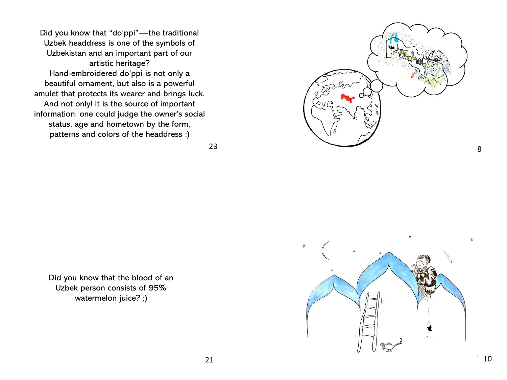Did you know that "do'ppi"—the traditional Uzbek headdress is one of the symbols of Uzbekistan and an important part of our artistic heritage? Hand-embroidered do'ppi is not only a beautiful ornament, but also is a powerful amulet that protects its wearer and brings luck. And not only! It is the source of important information: one could judge the owner's social status, age and hometown by the form, patterns and colors of the headdress :)

23

Did you know that the blood of an Uzbek person consists of 95% watermelon juice? ;)



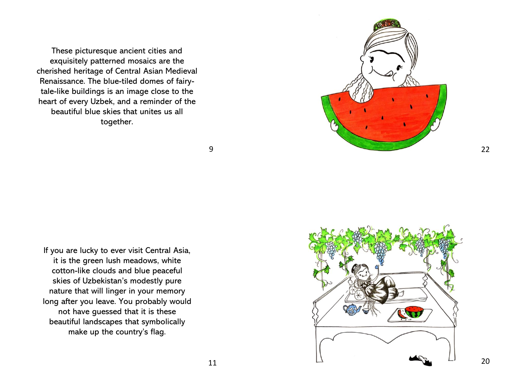These picturesque ancient cities and exquisitely patterned mosaics are the cherished heritage of Central Asian Medieval Renaissance. The blue -tiled domes of fairy tale -like buildings is an image close to the heart of every Uzbek, and a reminder of the beautiful blue skies that unites us all together.



9

If you are lucky to ever visit Central Asia, it is the green lush meadows, white cotton -like clouds and blue peaceful skies of Uzbekistan's modestly pure nature that will linger in your memory long after you leave. You probably would not have guessed that it is these beautiful landscapes that symbolically make up the country's flag.



11

20

22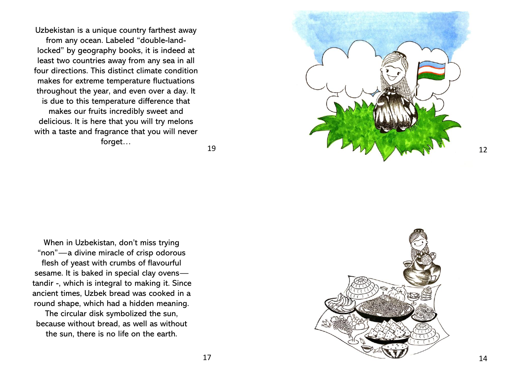Uzbekistan is a unique country farthest away from any ocean. Labeled "double -land locked" by geography books, it is indeed at least two countries away from any sea in all four directions. This distinct climate condition makes for extreme temperature fluctuations throughout the year, and even over a day. It is due to this temperature difference that makes our fruits incredibly sweet and delicious. It is here that you will try melons with a taste and fragrance that you will never forget…

19

When in Uzbekistan, don't miss trying "non" —a divine miracle of crisp odorous flesh of yeast with crumbs of flavourful sesame. It is baked in special clay ovens tandir -, which is integral to making it. Since ancient times, Uzbek bread was cooked in a round shape, which had a hidden meaning.

The circular disk symbolized the sun, because without bread, as well as without the sun, there is no life on the earth.